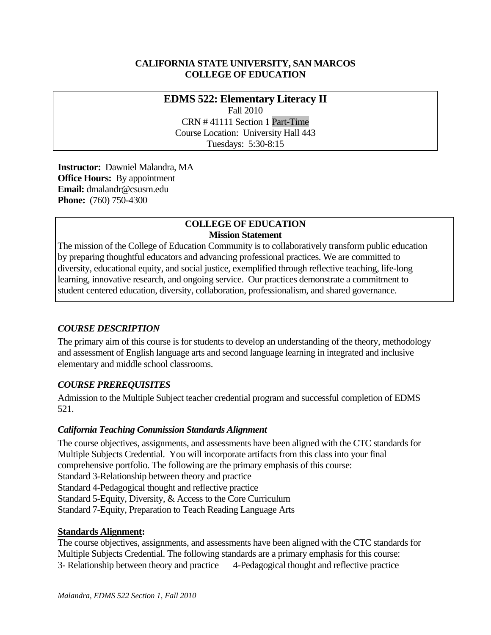# **CALIFORNIA STATE UNIVERSITY, SAN MARCOS COLLEGE OF EDUCATION**

# **EDMS 522: Elementary Literacy II**  Fall 2010 CRN # 41111 Section 1 Part-Time Course Location: University Hall 443 Tuesdays: 5:30-8:15

 **Instructor:** Dawniel Malandra, MA **Office Hours:** By appointment  **Email:** dmalandr@csusm.edu **Phone:** (760) 750-4300

#### **COLLEGE OF EDUCATION Mission Statement**

The mission of the College of Education Community is to collaboratively transform public education by preparing thoughtful educators and advancing professional practices. We are committed to diversity, educational equity, and social justice, exemplified through reflective teaching, life-long learning, innovative research, and ongoing service. Our practices demonstrate a commitment to student centered education, diversity, collaboration, professionalism, and shared governance.

# *COURSE DESCRIPTION*

The primary aim of this course is for students to develop an understanding of the theory, methodology and assessment of English language arts and second language learning in integrated and inclusive elementary and middle school classrooms.

# *COURSE PREREQUISITES*

Admission to the Multiple Subject teacher credential program and successful completion of EDMS 521.

# *California Teaching Commission Standards Alignment*

The course objectives, assignments, and assessments have been aligned with the CTC standards for Multiple Subjects Credential. You will incorporate artifacts from this class into your final comprehensive portfolio. The following are the primary emphasis of this course: Standard 3-Relationship between theory and practice Standard 4-Pedagogical thought and reflective practice Standard 5-Equity, Diversity, & Access to the Core Curriculum Standard 7-Equity, Preparation to Teach Reading Language Arts

#### **Standards Alignment:**

The course objectives, assignments, and assessments have been aligned with the CTC standards for Multiple Subjects Credential. The following standards are a primary emphasis for this course: 3- Relationship between theory and practice 4-Pedagogical thought and reflective practice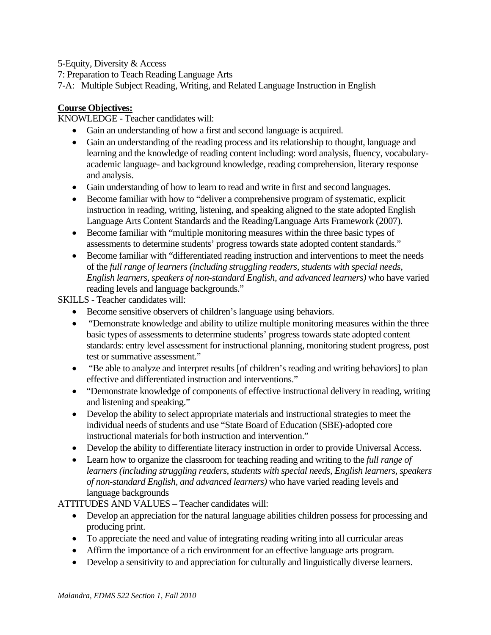5-Equity, Diversity & Access

7: Preparation to Teach Reading Language Arts

7-A: Multiple Subject Reading, Writing, and Related Language Instruction in English

#### **Course Objectives:**

KNOWLEDGE - Teacher candidates will:

- Gain an understanding of how a first and second language is acquired.
- and analysis. Gain an understanding of the reading process and its relationship to thought, language and learning and the knowledge of reading content including: word analysis, fluency, vocabularyacademic language- and background knowledge, reading comprehension, literary response
- Gain understanding of how to learn to read and write in first and second languages.
- Become familiar with how to "deliver a comprehensive program of systematic, explicit instruction in reading, writing, listening, and speaking aligned to the state adopted English Language Arts Content Standards and the Reading/Language Arts Framework (2007).
- Become familiar with "multiple monitoring measures within the three basic types of assessments to determine students' progress towards state adopted content standards."
- Become familiar with "differentiated reading instruction and interventions to meet the needs of the *full range of learners (including struggling readers, students with special needs, English learners, speakers of non-standard English, and advanced learners)* who have varied reading levels and language backgrounds."

SKILLS - Teacher candidates will:

- Become sensitive observers of children's language using behaviors.
- "Demonstrate knowledge and ability to utilize multiple monitoring measures within the three basic types of assessments to determine students' progress towards state adopted content standards: entry level assessment for instructional planning, monitoring student progress, post test or summative assessment."
- "Be able to analyze and interpret results [of children's reading and writing behaviors] to plan effective and differentiated instruction and interventions."
- "Demonstrate knowledge of components of effective instructional delivery in reading, writing and listening and speaking."
- Develop the ability to select appropriate materials and instructional strategies to meet the individual needs of students and use "State Board of Education (SBE)-adopted core instructional materials for both instruction and intervention."
- Develop the ability to differentiate literacy instruction in order to provide Universal Access.
- Learn how to organize the classroom for teaching reading and writing to the *full range of learners (including struggling readers, students with special needs, English learners, speakers of non-standard English, and advanced learners)* who have varied reading levels and language backgrounds

ATTITUDES AND VALUES – Teacher candidates will:

- Develop an appreciation for the natural language abilities children possess for processing and producing print.
- To appreciate the need and value of integrating reading writing into all curricular areas
- Affirm the importance of a rich environment for an effective language arts program.
- Develop a sensitivity to and appreciation for culturally and linguistically diverse learners.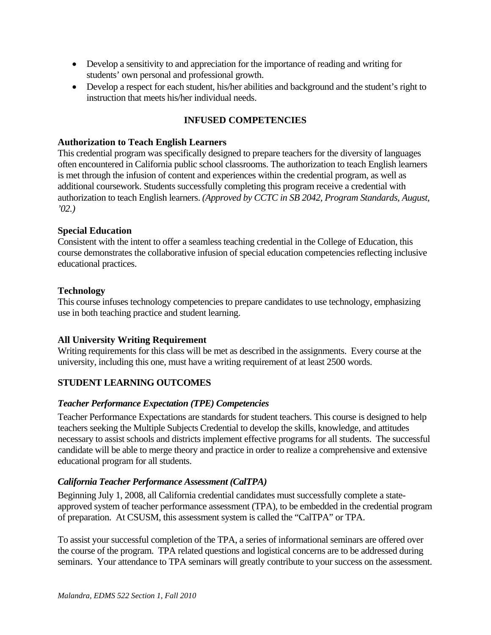- Develop a sensitivity to and appreciation for the importance of reading and writing for students' own personal and professional growth.
- Develop a respect for each student, his/her abilities and background and the student's right to instruction that meets his/her individual needs.

# **INFUSED COMPETENCIES**

#### **Authorization to Teach English Learners**

This credential program was specifically designed to prepare teachers for the diversity of languages often encountered in California public school classrooms. The authorization to teach English learners is met through the infusion of content and experiences within the credential program, as well as additional coursework. Students successfully completing this program receive a credential with authorization to teach English learners. *(Approved by CCTC in SB 2042, Program Standards, August, '02.)* 

#### **Special Education**

Consistent with the intent to offer a seamless teaching credential in the College of Education, this course demonstrates the collaborative infusion of special education competencies reflecting inclusive educational practices.

#### **Technology**

This course infuses technology competencies to prepare candidates to use technology, emphasizing use in both teaching practice and student learning.

# **All University Writing Requirement**

Writing requirements for this class will be met as described in the assignments. Every course at the university, including this one, must have a writing requirement of at least 2500 words.

# **STUDENT LEARNING OUTCOMES**

#### *Teacher Performance Expectation (TPE) Competencies*

Teacher Performance Expectations are standards for student teachers. This course is designed to help teachers seeking the Multiple Subjects Credential to develop the skills, knowledge, and attitudes necessary to assist schools and districts implement effective programs for all students. The successful candidate will be able to merge theory and practice in order to realize a comprehensive and extensive educational program for all students.

#### *California Teacher Performance Assessment (CalTPA)*

Beginning July 1, 2008, all California credential candidates must successfully complete a stateapproved system of teacher performance assessment (TPA), to be embedded in the credential program of preparation. At CSUSM, this assessment system is called the "CalTPA" or TPA.

To assist your successful completion of the TPA, a series of informational seminars are offered over the course of the program. TPA related questions and logistical concerns are to be addressed during seminars. Your attendance to TPA seminars will greatly contribute to your success on the assessment.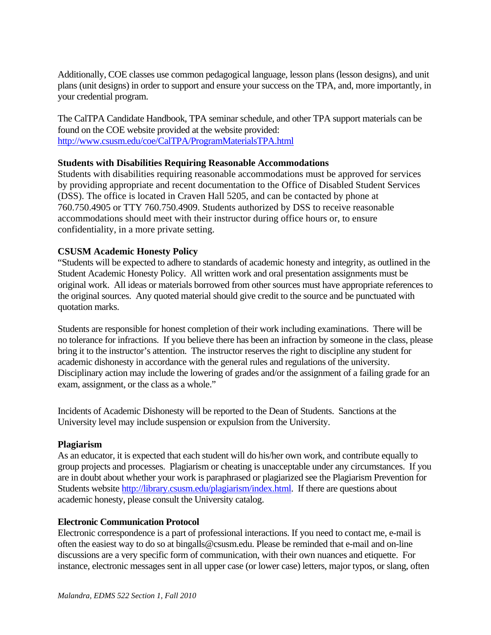Additionally, COE classes use common pedagogical language, lesson plans (lesson designs), and unit plans (unit designs) in order to support and ensure your success on the TPA, and, more importantly, in your credential program.

The CalTPA Candidate Handbook, TPA seminar schedule, and other TPA support materials can be found on the COE website provided at the website provided: http://www.csusm.edu/coe/CalTPA/ProgramMaterialsTPA.html

#### **Students with Disabilities Requiring Reasonable Accommodations**

Students with disabilities requiring reasonable accommodations must be approved for services by providing appropriate and recent documentation to the Office of Disabled Student Services (DSS). The office is located in Craven Hall 5205, and can be contacted by phone at 760.750.4905 or TTY 760.750.4909. Students authorized by DSS to receive reasonable accommodations should meet with their instructor during office hours or, to ensure confidentiality, in a more private setting.

#### **CSUSM Academic Honesty Policy**

"Students will be expected to adhere to standards of academic honesty and integrity, as outlined in the Student Academic Honesty Policy. All written work and oral presentation assignments must be original work. All ideas or materials borrowed from other sources must have appropriate references to the original sources. Any quoted material should give credit to the source and be punctuated with quotation marks.

Students are responsible for honest completion of their work including examinations. There will be no tolerance for infractions. If you believe there has been an infraction by someone in the class, please bring it to the instructor's attention. The instructor reserves the right to discipline any student for academic dishonesty in accordance with the general rules and regulations of the university. Disciplinary action may include the lowering of grades and/or the assignment of a failing grade for an exam, assignment, or the class as a whole."

Incidents of Academic Dishonesty will be reported to the Dean of Students. Sanctions at the University level may include suspension or expulsion from the University.

#### **Plagiarism**

As an educator, it is expected that each student will do his/her own work, and contribute equally to group projects and processes. Plagiarism or cheating is unacceptable under any circumstances. If you are in doubt about whether your work is paraphrased or plagiarized see the Plagiarism Prevention for Students website http://library.csusm.edu/plagiarism/index.html. If there are questions about academic honesty, please consult the University catalog.

#### **Electronic Communication Protocol**

Electronic correspondence is a part of professional interactions. If you need to contact me, e-mail is often the easiest way to do so at bingalls@csusm.edu. Please be reminded that e-mail and on-line discussions are a very specific form of communication, with their own nuances and etiquette. For instance, electronic messages sent in all upper case (or lower case) letters, major typos, or slang, often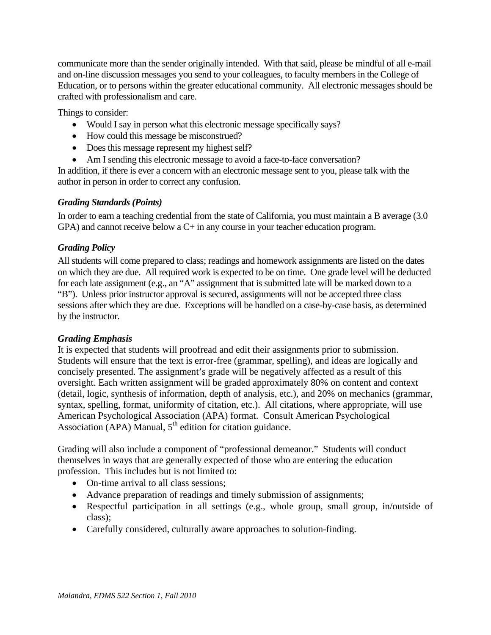communicate more than the sender originally intended. With that said, please be mindful of all e-mail and on-line discussion messages you send to your colleagues, to faculty members in the College of Education, or to persons within the greater educational community. All electronic messages should be crafted with professionalism and care.

Things to consider:

- Would I say in person what this electronic message specifically says?
- How could this message be misconstrued?
- Does this message represent my highest self?
- Am I sending this electronic message to avoid a face-to-face conversation?

In addition, if there is ever a concern with an electronic message sent to you, please talk with the author in person in order to correct any confusion.

# *Grading Standards (Points)*

In order to earn a teaching credential from the state of California, you must maintain a B average (3.0 GPA) and cannot receive below a C+ in any course in your teacher education program.

# *Grading Policy*

All students will come prepared to class; readings and homework assignments are listed on the dates on which they are due. All required work is expected to be on time. One grade level will be deducted for each late assignment (e.g., an "A" assignment that is submitted late will be marked down to a "B"). Unless prior instructor approval is secured, assignments will not be accepted three class sessions after which they are due. Exceptions will be handled on a case-by-case basis, as determined by the instructor.

# *Grading Emphasis*

It is expected that students will proofread and edit their assignments prior to submission. Students will ensure that the text is error-free (grammar, spelling), and ideas are logically and concisely presented. The assignment's grade will be negatively affected as a result of this oversight. Each written assignment will be graded approximately 80% on content and context (detail, logic, synthesis of information, depth of analysis, etc.), and 20% on mechanics (grammar, syntax, spelling, format, uniformity of citation, etc.). All citations, where appropriate, will use American Psychological Association (APA) format. Consult American Psychological Association (APA) Manual,  $5<sup>th</sup>$  edition for citation guidance.

Grading will also include a component of "professional demeanor." Students will conduct themselves in ways that are generally expected of those who are entering the education profession. This includes but is not limited to:

- On-time arrival to all class sessions;
- Advance preparation of readings and timely submission of assignments;
- Respectful participation in all settings (e.g., whole group, small group, in/outside of class);
- Carefully considered, culturally aware approaches to solution-finding.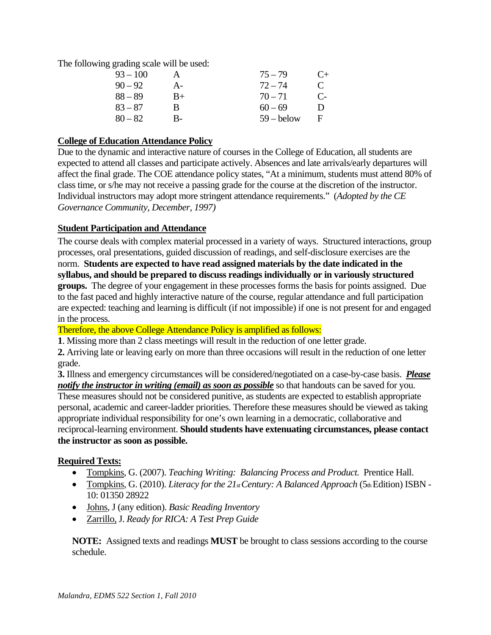The following grading scale will be used:

| $93 - 100$ | А  | $75 - 79$    | $C_{\pm}$     |
|------------|----|--------------|---------------|
| $90 - 92$  | A- | $72 - 74$    | $\mathcal{C}$ |
| $88 - 89$  | B+ | $70 - 71$    | $C_{\tau}$    |
| $83 - 87$  | В  | $60 - 69$    | Ð             |
| $80 - 82$  | B- | $59 -$ below | E             |

# **College of Education Attendance Policy**

Due to the dynamic and interactive nature of courses in the College of Education, all students are expected to attend all classes and participate actively. Absences and late arrivals/early departures will affect the final grade. The COE attendance policy states, "At a minimum, students must attend 80% of class time, or s/he may not receive a passing grade for the course at the discretion of the instructor. Individual instructors may adopt more stringent attendance requirements." (*Adopted by the CE Governance Community, December, 1997)* 

# **Student Participation and Attendance**

 norm. **Students are expected to have read assigned materials by the date indicated in the**  The course deals with complex material processed in a variety of ways. Structured interactions, group processes, oral presentations, guided discussion of readings, and self-disclosure exercises are the **syllabus, and should be prepared to discuss readings individually or in variously structured groups.** The degree of your engagement in these processes forms the basis for points assigned. Due to the fast paced and highly interactive nature of the course, regular attendance and full participation are expected: teaching and learning is difficult (if not impossible) if one is not present for and engaged in the process.

Therefore, the above College Attendance Policy is amplified as follows:

**1**. Missing more than 2 class meetings will result in the reduction of one letter grade.

**2.** Arriving late or leaving early on more than three occasions will result in the reduction of one letter grade.

 **3.** Illness and emergency circumstances will be considered/negotiated on a case-by-case basis. *Please notify the instructor in writing (email) as soon as possible* so that handouts can be saved for you. These measures should not be considered punitive, as students are expected to establish appropriate personal, academic and career-ladder priorities. Therefore these measures should be viewed as taking appropriate individual responsibility for one's own learning in a democratic, collaborative and reciprocal-learning environment. **Should students have extenuating circumstances, please contact the instructor as soon as possible.** 

# **Required Texts:**

- Tompkins, G. (2007). *Teaching Writing: Balancing Process and Product.* Prentice Hall.
- Tompkins, G. (2010). *Literacy for the 21st Century: A Balanced Approach* (5th Edition) ISBN -10: 01350 28922
- Johns, J (any edition). *Basic Reading Inventory*
- Zarrillo, J. *Ready for RICA: A Test Prep Guide*

**NOTE:** Assigned texts and readings **MUST** be brought to class sessions according to the course schedule.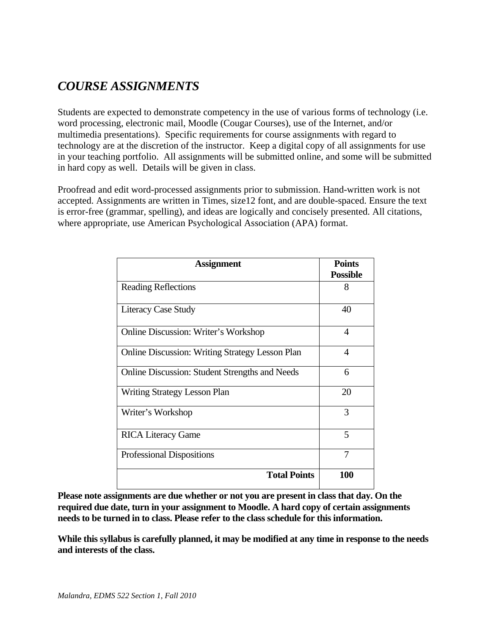# *COURSE ASSIGNMENTS*

Students are expected to demonstrate competency in the use of various forms of technology (i.e. word processing, electronic mail, Moodle (Cougar Courses), use of the Internet, and/or multimedia presentations). Specific requirements for course assignments with regard to technology are at the discretion of the instructor. Keep a digital copy of all assignments for use in your teaching portfolio. All assignments will be submitted online, and some will be submitted in hard copy as well. Details will be given in class.

Proofread and edit word-processed assignments prior to submission. Hand-written work is not accepted. Assignments are written in Times, size12 font, and are double-spaced. Ensure the text is error-free (grammar, spelling), and ideas are logically and concisely presented. All citations, where appropriate, use American Psychological Association (APA) format.

| <b>Assignment</b>                                      | <b>Points</b>            |
|--------------------------------------------------------|--------------------------|
|                                                        | <b>Possible</b>          |
| <b>Reading Reflections</b>                             | 8                        |
| <b>Literacy Case Study</b>                             | 40                       |
| <b>Online Discussion: Writer's Workshop</b>            | 4                        |
| <b>Online Discussion: Writing Strategy Lesson Plan</b> | $\boldsymbol{\varDelta}$ |
| Online Discussion: Student Strengths and Needs         | 6                        |
| <b>Writing Strategy Lesson Plan</b>                    | 20                       |
| Writer's Workshop                                      | 3                        |
| <b>RICA Literacy Game</b>                              | 5                        |
| <b>Professional Dispositions</b>                       | 7                        |
| <b>Total Points</b>                                    | 100                      |

**Please note assignments are due whether or not you are present in class that day. On the required due date, turn in your assignment to Moodle. A hard copy of certain assignments needs to be turned in to class. Please refer to the class schedule for this information.** 

**While this syllabus is carefully planned, it may be modified at any time in response to the needs and interests of the class.**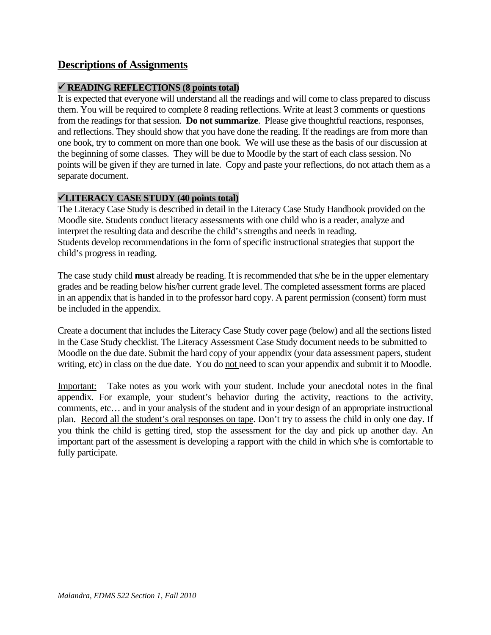# **Descriptions of Assignments**

# **READING REFLECTIONS (8 points total)**

 from the readings for that session. **Do not summarize**. Please give thoughtful reactions, responses, It is expected that everyone will understand all the readings and will come to class prepared to discuss them. You will be required to complete 8 reading reflections. Write at least 3 comments or questions and reflections. They should show that you have done the reading. If the readings are from more than one book, try to comment on more than one book. We will use these as the basis of our discussion at the beginning of some classes. They will be due to Moodle by the start of each class session. No points will be given if they are turned in late. Copy and paste your reflections, do not attach them as a separate document.

# **LITERACY CASE STUDY (40 points total)**

The Literacy Case Study is described in detail in the Literacy Case Study Handbook provided on the Moodle site. Students conduct literacy assessments with one child who is a reader, analyze and interpret the resulting data and describe the child's strengths and needs in reading. Students develop recommendations in the form of specific instructional strategies that support the child's progress in reading.

The case study child **must** already be reading. It is recommended that s/he be in the upper elementary grades and be reading below his/her current grade level. The completed assessment forms are placed in an appendix that is handed in to the professor hard copy. A parent permission (consent) form must be included in the appendix.

Create a document that includes the Literacy Case Study cover page (below) and all the sections listed in the Case Study checklist. The Literacy Assessment Case Study document needs to be submitted to Moodle on the due date. Submit the hard copy of your appendix (your data assessment papers, student writing, etc) in class on the due date. You do not need to scan your appendix and submit it to Moodle.

Important: Take notes as you work with your student. Include your anecdotal notes in the final appendix. For example, your student's behavior during the activity, reactions to the activity, comments, etc… and in your analysis of the student and in your design of an appropriate instructional plan. Record all the student's oral responses on tape. Don't try to assess the child in only one day. If you think the child is getting tired, stop the assessment for the day and pick up another day. An important part of the assessment is developing a rapport with the child in which s/he is comfortable to fully participate.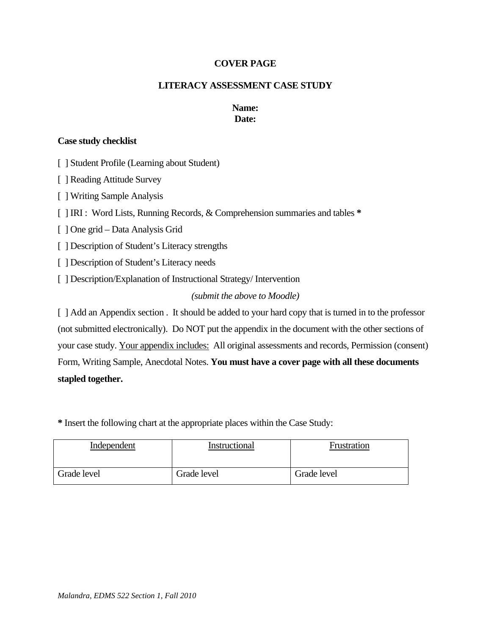#### **COVER PAGE**

#### **LITERACY ASSESSMENT CASE STUDY**

#### **Name: Date:**

#### **Case study checklist**

[ ] Student Profile (Learning about Student)

[ ] Reading Attitude Survey

[ ] Writing Sample Analysis

[ ] IRI : Word Lists, Running Records, & Comprehension summaries and tables **\*** 

[ ] One grid – Data Analysis Grid

[ ] Description of Student's Literacy strengths

[ ] Description of Student's Literacy needs

[ ] Description/Explanation of Instructional Strategy/ Intervention

# *(submit the above to Moodle)*

[ ] Add an Appendix section . It should be added to your hard copy that is turned in to the professor (not submitted electronically). Do NOT put the appendix in the document with the other sections of your case study. Your appendix includes: All original assessments and records, Permission (consent) Form, Writing Sample, Anecdotal Notes. **You must have a cover page with all these documents stapled together.** 

**\*** Insert the following chart at the appropriate places within the Case Study:

| Independent | Instructional | Frustration |
|-------------|---------------|-------------|
| Grade level | Grade level   | Grade level |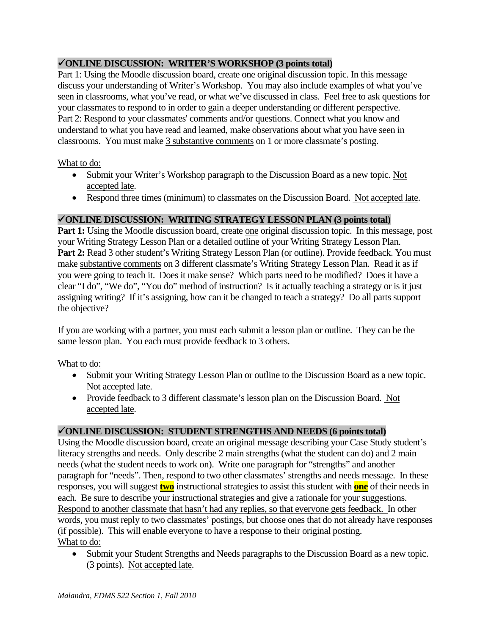# **ONLINE DISCUSSION: WRITER'S WORKSHOP (3 points total)**

Part 1: Using the Moodle discussion board, create one original discussion topic. In this message discuss your understanding of Writer's Workshop. You may also include examples of what you've seen in classrooms, what you've read, or what we've discussed in class. Feel free to ask questions for your classmates to respond to in order to gain a deeper understanding or different perspective. Part 2: Respond to your classmates' comments and/or questions. Connect what you know and understand to what you have read and learned, make observations about what you have seen in classrooms. You must make 3 substantive comments on 1 or more classmate's posting.

# What to do:

- Submit your Writer's Workshop paragraph to the Discussion Board as a new topic. Not accepted late.
- Respond three times (minimum) to classmates on the Discussion Board. Not accepted late.

# **ONLINE DISCUSSION: WRITING STRATEGY LESSON PLAN (3 points total)**

 your Writing Strategy Lesson Plan or a detailed outline of your Writing Strategy Lesson Plan. the objective? **Part 1:** Using the Moodle discussion board, create one original discussion topic. In this message, post Part 2: Read 3 other student's Writing Strategy Lesson Plan (or outline). Provide feedback. You must make substantive comments on 3 different classmate's Writing Strategy Lesson Plan. Read it as if you were going to teach it. Does it make sense? Which parts need to be modified? Does it have a clear "I do", "We do", "You do" method of instruction? Is it actually teaching a strategy or is it just assigning writing? If it's assigning, how can it be changed to teach a strategy? Do all parts support

If you are working with a partner, you must each submit a lesson plan or outline. They can be the same lesson plan. You each must provide feedback to 3 others.

# What to do:

- Submit your Writing Strategy Lesson Plan or outline to the Discussion Board as a new topic. Not accepted late.
- Provide feedback to 3 different classmate's lesson plan on the Discussion Board. Not accepted late.

# **ONLINE DISCUSSION: STUDENT STRENGTHS AND NEEDS (6 points total)**

Using the Moodle discussion board, create an original message describing your Case Study student's literacy strengths and needs. Only describe 2 main strengths (what the student can do) and 2 main needs (what the student needs to work on). Write one paragraph for "strengths" and another paragraph for "needs". Then, respond to two other classmates' strengths and needs message. In these responses, you will suggest **two** instructional strategies to assist this student with **one** of their needs in each. Be sure to describe your instructional strategies and give a rationale for your suggestions. Respond to another classmate that hasn't had any replies, so that everyone gets feedback. In other words, you must reply to two classmates' postings, but choose ones that do not already have responses (if possible). This will enable everyone to have a response to their original posting. What to do:

 Submit your Student Strengths and Needs paragraphs to the Discussion Board as a new topic. (3 points). Not accepted late.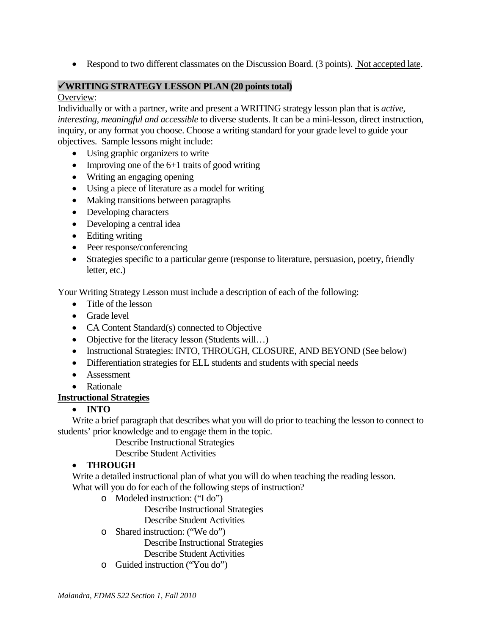• Respond to two different classmates on the Discussion Board. (3 points). Not accepted late.

#### **WRITING STRATEGY LESSON PLAN (20 points total)**

#### Overview:

Individually or with a partner, write and present a WRITING strategy lesson plan that is *active, interesting, meaningful and accessible* to diverse students. It can be a mini-lesson, direct instruction, inquiry, or any format you choose. Choose a writing standard for your grade level to guide your objectives. Sample lessons might include:

- Using graphic organizers to write
- Improving one of the  $6+1$  traits of good writing
- Writing an engaging opening
- Using a piece of literature as a model for writing
- Making transitions between paragraphs
- Developing characters
- Developing a central idea
- Editing writing
- Peer response/conferencing
- Strategies specific to a particular genre (response to literature, persuasion, poetry, friendly letter, etc.)

Your Writing Strategy Lesson must include a description of each of the following:

- Title of the lesson
- Grade level
- CA Content Standard(s) connected to Objective
- Objective for the literacy lesson (Students will...)
- Instructional Strategies: INTO, THROUGH, CLOSURE, AND BEYOND (See below)
- Differentiation strategies for ELL students and students with special needs
- Assessment
- Rationale

# **Instructional Strategies**

# **INTO**

Write a brief paragraph that describes what you will do prior to teaching the lesson to connect to students' prior knowledge and to engage them in the topic.

Describe Instructional Strategies

Describe Student Activities

# **THROUGH**

Write a detailed instructional plan of what you will do when teaching the reading lesson. What will you do for each of the following steps of instruction?

o Modeled instruction: ("I do")

Describe Instructional Strategies

Describe Student Activities

o Shared instruction: ("We do")

Describe Instructional Strategies

Describe Student Activities

o Guided instruction ("You do")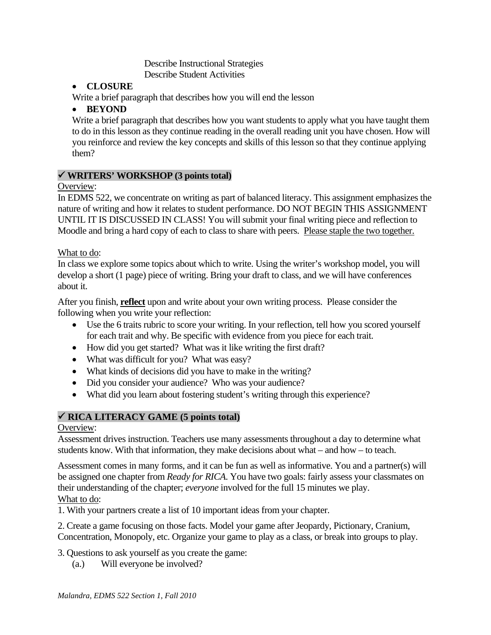Describe Instructional Strategies Describe Student Activities

# **CLOSURE**

Write a brief paragraph that describes how you will end the lesson

# **BEYOND**

Write a brief paragraph that describes how you want students to apply what you have taught them to do in this lesson as they continue reading in the overall reading unit you have chosen. How will you reinforce and review the key concepts and skills of this lesson so that they continue applying them?

# **WRITERS' WORKSHOP (3 points total)**

Overview:

Moodle and bring a hard copy of each to class to share with peers. Please staple the two together.<br>What to do: In EDMS 522, we concentrate on writing as part of balanced literacy. This assignment emphasizes the nature of writing and how it relates to student performance. DO NOT BEGIN THIS ASSIGNMENT UNTIL IT IS DISCUSSED IN CLASS! You will submit your final writing piece and reflection to

In class we explore some topics about which to write. Using the writer's workshop model, you will develop a short (1 page) piece of writing. Bring your draft to class, and we will have conferences about it.

After you finish, **reflect** upon and write about your own writing process. Please consider the following when you write your reflection:

- Use the 6 traits rubric to score your writing. In your reflection, tell how you scored yourself for each trait and why. Be specific with evidence from you piece for each trait.
- How did you get started? What was it like writing the first draft?
- What was difficult for you? What was easy?
- What kinds of decisions did you have to make in the writing?
- Did you consider your audience? Who was your audience?
- What did you learn about fostering student's writing through this experience?

# **RICA LITERACY GAME (5 points total)**

# Overview:

Assessment drives instruction. Teachers use many assessments throughout a day to determine what students know. With that information, they make decisions about what – and how – to teach.

Assessment comes in many forms, and it can be fun as well as informative. You and a partner(s) will be assigned one chapter from *Ready for RICA*. You have two goals: fairly assess your classmates on their understanding of the chapter; *everyone* involved for the full 15 minutes we play. What to do:

1. With your partners create a list of 10 important ideas from your chapter.

2. Create a game focusing on those facts. Model your game after Jeopardy, Pictionary, Cranium, Concentration, Monopoly, etc. Organize your game to play as a class, or break into groups to play.

3. Questions to ask yourself as you create the game:

(a.) Will everyone be involved?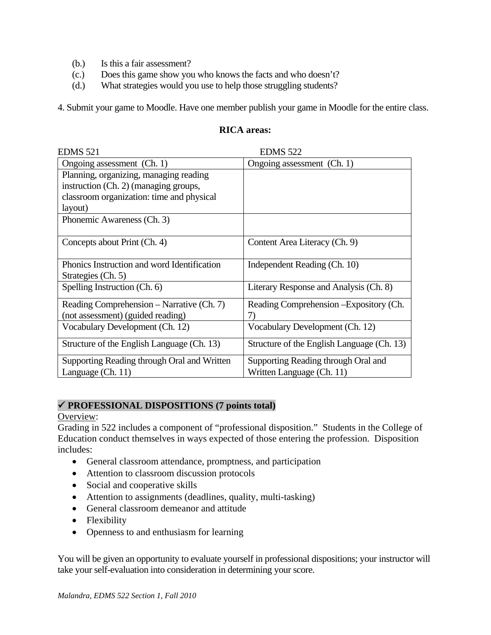- (b.) Is this a fair assessment?
- (c.) Does this game show you who knows the facts and who doesn't?
- (d.) What strategies would you use to help those struggling students?

4. Submit your game to Moodle. Have one member publish your game in Moodle for the entire class.

#### **RICA areas:**

| <b>EDMS 521</b>                             | <b>EDMS 522</b>                            |
|---------------------------------------------|--------------------------------------------|
| Ongoing assessment (Ch. 1)                  | Ongoing assessment (Ch. 1)                 |
| Planning, organizing, managing reading      |                                            |
| instruction (Ch. 2) (managing groups,       |                                            |
| classroom organization: time and physical   |                                            |
| layout)                                     |                                            |
| Phonemic Awareness (Ch. 3)                  |                                            |
|                                             |                                            |
| Concepts about Print (Ch. 4)                | Content Area Literacy (Ch. 9)              |
|                                             |                                            |
| Phonics Instruction and word Identification | Independent Reading (Ch. 10)               |
| Strategies (Ch. 5)                          |                                            |
| Spelling Instruction (Ch. 6)                | Literary Response and Analysis (Ch. 8)     |
| Reading Comprehension – Narrative (Ch. 7)   | Reading Comprehension – Expository (Ch.    |
| (not assessment) (guided reading)           | 7)                                         |
| Vocabulary Development (Ch. 12)             | Vocabulary Development (Ch. 12)            |
| Structure of the English Language (Ch. 13)  | Structure of the English Language (Ch. 13) |
| Supporting Reading through Oral and Written | Supporting Reading through Oral and        |
| Language (Ch. 11)                           | Written Language (Ch. 11)                  |

# **PROFESSIONAL DISPOSITIONS (7 points total)**

#### Overview:

Grading in 522 includes a component of "professional disposition." Students in the College of Education conduct themselves in ways expected of those entering the profession. Disposition includes:

- General classroom attendance, promptness, and participation
- Attention to classroom discussion protocols
- Social and cooperative skills
- Attention to assignments (deadlines, quality, multi-tasking)
- General classroom demeanor and attitude
- Flexibility
- Openness to and enthusiasm for learning

You will be given an opportunity to evaluate yourself in professional dispositions; your instructor will take your self-evaluation into consideration in determining your score.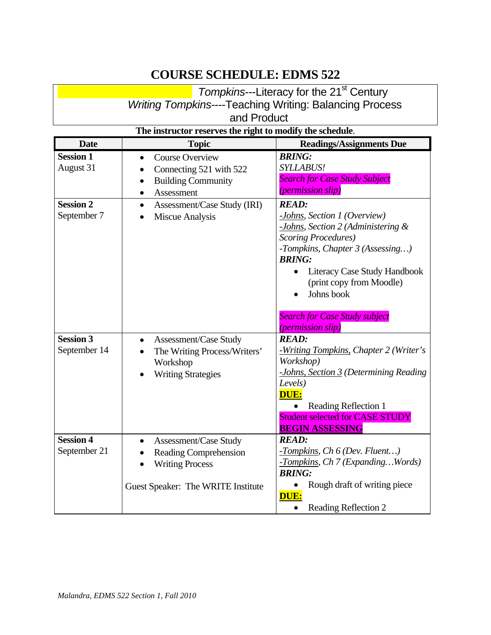# **COURSE SCHEDULE: EDMS 522**

|             | Tompkins---Literacy for the 21 <sup>st</sup> Century           |  |  |
|-------------|----------------------------------------------------------------|--|--|
|             | <b>Writing Tompkins----Teaching Writing: Balancing Process</b> |  |  |
| and Product |                                                                |  |  |

| The instructor reserves the right to modify the schedule. |                                                                                                                                                  |                                                                                                                                                                                                                                                                                                       |
|-----------------------------------------------------------|--------------------------------------------------------------------------------------------------------------------------------------------------|-------------------------------------------------------------------------------------------------------------------------------------------------------------------------------------------------------------------------------------------------------------------------------------------------------|
| <b>Date</b>                                               | <b>Topic</b>                                                                                                                                     | <b>Readings/Assignments Due</b>                                                                                                                                                                                                                                                                       |
| <b>Session 1</b><br>August 31                             | <b>Course Overview</b><br>$\bullet$<br>Connecting 521 with 522<br>$\bullet$<br><b>Building Community</b><br>$\bullet$<br>Assessment<br>$\bullet$ | <b>BRING:</b><br><b>SYLLABUS!</b><br><b>Search for Case Study Subject</b><br><i>(permission slip)</i>                                                                                                                                                                                                 |
| <b>Session 2</b><br>September 7                           | Assessment/Case Study (IRI)<br>$\bullet$<br>Miscue Analysis                                                                                      | <b>READ:</b><br>-Johns, Section 1 (Overview)<br>-Johns, Section 2 (Administering &<br><b>Scoring Procedures</b> )<br>-Tompkins, Chapter 3 (Assessing)<br><b>BRING:</b><br>Literacy Case Study Handbook<br>$\bullet$<br>(print copy from Moodle)<br>Johns book<br><b>Search for Case Study subject</b> |
| <b>Session 3</b><br>September 14                          | Assessment/Case Study<br>$\bullet$<br>The Writing Process/Writers'<br>Workshop<br><b>Writing Strategies</b>                                      | <i>(permission slip)</i><br><b>READ:</b><br>-Writing Tompkins, Chapter 2 (Writer's<br>Workshop)<br>-Johns, Section 3 (Determining Reading<br>Levels)<br>DUE:<br>• Reading Reflection 1<br><b>Student selected for CASE STUDY</b><br><b>BEGIN ASSESSING</b>                                            |
| <b>Session 4</b><br>September 21                          | Assessment/Case Study<br>$\bullet$<br>Reading Comprehension<br>$\bullet$<br><b>Writing Process</b><br>Guest Speaker: The WRITE Institute         | <b>READ:</b><br>$-Tompkins, Ch 6 (Dev. Fluent)$<br>-Tompkins, Ch 7 (ExpandingWords)<br><b>BRING:</b><br>Rough draft of writing piece<br>DUE:<br>Reading Reflection 2                                                                                                                                  |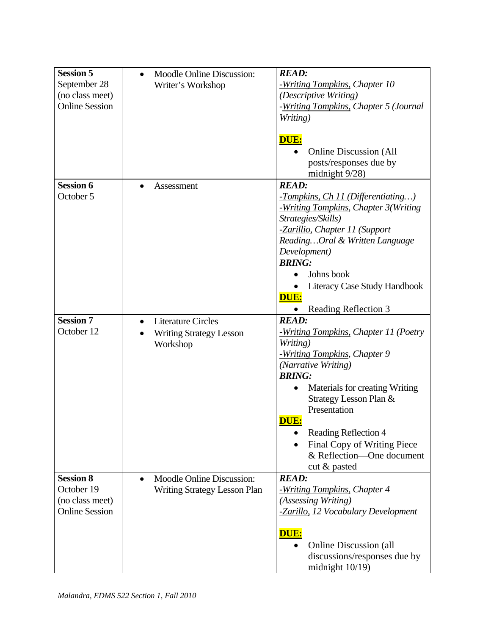| <b>Session 5</b><br>September 28<br>(no class meet)<br><b>Online Session</b> | <b>Moodle Online Discussion:</b><br>$\bullet$<br>Writer's Workshop                   | <b>READ:</b><br>-Writing Tompkins, Chapter 10<br>(Descriptive Writing)<br>-Writing Tompkins, Chapter 5 (Journal<br>Writing)<br>DUE:<br><b>Online Discussion (All</b><br>posts/responses due by<br>midnight 9/28)                                                                                                                               |
|------------------------------------------------------------------------------|--------------------------------------------------------------------------------------|------------------------------------------------------------------------------------------------------------------------------------------------------------------------------------------------------------------------------------------------------------------------------------------------------------------------------------------------|
| <b>Session 6</b><br>October 5                                                | Assessment                                                                           | <b>READ:</b><br>-Tompkins, Ch 11 (Differentiating)<br>-Writing Tompkins, Chapter 3(Writing<br>Strategies/Skills)<br>-Zarillio, Chapter 11 (Support<br>ReadingOral & Written Language<br>Development)<br><b>BRING:</b><br>Johns book<br>Literacy Case Study Handbook<br>DUE:<br>Reading Reflection 3                                            |
| <b>Session 7</b><br>October 12                                               | <b>Literature Circles</b><br>$\bullet$<br><b>Writing Strategy Lesson</b><br>Workshop | <b>READ:</b><br>-Writing Tompkins, Chapter 11 (Poetry<br>Writing)<br>-Writing Tompkins, Chapter 9<br>(Narrative Writing)<br><b>BRING:</b><br>Materials for creating Writing<br>Strategy Lesson Plan &<br>Presentation<br>DUE:<br>Reading Reflection 4<br>$\bullet$<br>Final Copy of Writing Piece<br>& Reflection—One document<br>cut & pasted |
| <b>Session 8</b><br>October 19<br>(no class meet)<br><b>Online Session</b>   | <b>Moodle Online Discussion:</b><br>$\bullet$<br><b>Writing Strategy Lesson Plan</b> | <b>READ:</b><br>-Writing Tompkins, Chapter 4<br>(Assessing Writing)<br>-Zarillo, 12 Vocabulary Development<br><b>DUE:</b><br><b>Online Discussion (all</b><br>discussions/responses due by<br>midnight $10/19$ )                                                                                                                               |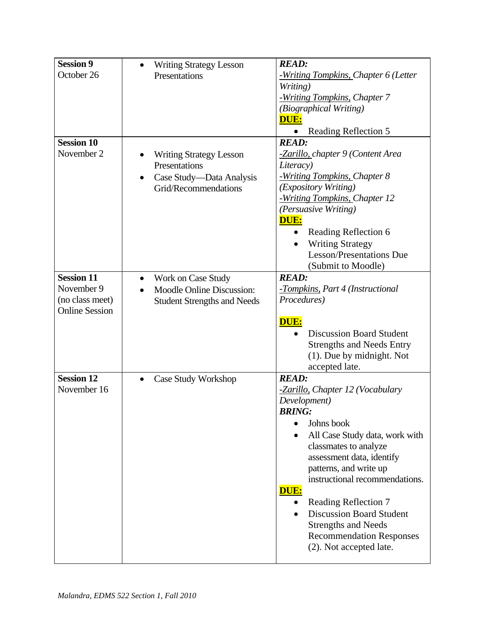| <b>Session 9</b>                         | <b>Writing Strategy Lesson</b>                                | <b>READ:</b>                                            |
|------------------------------------------|---------------------------------------------------------------|---------------------------------------------------------|
| October 26                               | Presentations                                                 | -Writing Tompkins, Chapter 6 (Letter                    |
|                                          |                                                               | Writing)                                                |
|                                          |                                                               | -Writing Tompkins, Chapter 7                            |
|                                          |                                                               | (Biographical Writing)                                  |
|                                          |                                                               | DUE:                                                    |
|                                          |                                                               | Reading Reflection 5                                    |
| <b>Session 10</b>                        |                                                               | <b>READ:</b>                                            |
| November 2                               | <b>Writing Strategy Lesson</b>                                | -Zarillo, chapter 9 (Content Area                       |
|                                          | Presentations                                                 | Literacy)                                               |
|                                          |                                                               | -Writing Tompkins, Chapter 8                            |
|                                          | Case Study—Data Analysis<br>$\bullet$<br>Grid/Recommendations | (Expository Writing)                                    |
|                                          |                                                               | -Writing Tompkins, Chapter 12                           |
|                                          |                                                               | (Persuasive Writing)                                    |
|                                          |                                                               | <b>DUE:</b>                                             |
|                                          |                                                               | Reading Reflection 6                                    |
|                                          |                                                               | <b>Writing Strategy</b>                                 |
|                                          |                                                               | <b>Lesson/Presentations Due</b>                         |
|                                          |                                                               |                                                         |
| <b>Session 11</b>                        |                                                               | (Submit to Moodle)                                      |
| November 9                               | Work on Case Study<br>٠                                       | <b>READ:</b>                                            |
|                                          | <b>Moodle Online Discussion:</b><br>$\bullet$                 | -Tompkins, Part 4 (Instructional                        |
| (no class meet)<br><b>Online Session</b> | <b>Student Strengths and Needs</b>                            | Procedures)                                             |
|                                          |                                                               | DUE:                                                    |
|                                          |                                                               | <b>Discussion Board Student</b>                         |
|                                          |                                                               | <b>Strengths and Needs Entry</b>                        |
|                                          |                                                               | (1). Due by midnight. Not                               |
|                                          |                                                               |                                                         |
| <b>Session 12</b>                        |                                                               | accepted late.<br><b>READ:</b>                          |
| November 16                              | Case Study Workshop                                           |                                                         |
|                                          |                                                               | -Zarillo, Chapter 12 (Vocabulary                        |
|                                          |                                                               | Development)<br><b>BRING:</b>                           |
|                                          |                                                               | Johns book                                              |
|                                          |                                                               |                                                         |
|                                          |                                                               | All Case Study data, work with                          |
|                                          |                                                               | classmates to analyze                                   |
|                                          |                                                               | assessment data, identify<br>patterns, and write up     |
|                                          |                                                               | instructional recommendations.                          |
|                                          |                                                               | DUE:                                                    |
|                                          |                                                               |                                                         |
|                                          |                                                               | Reading Reflection 7<br><b>Discussion Board Student</b> |
|                                          |                                                               |                                                         |
|                                          |                                                               | <b>Strengths and Needs</b>                              |
|                                          |                                                               | <b>Recommendation Responses</b>                         |
|                                          |                                                               | (2). Not accepted late.                                 |